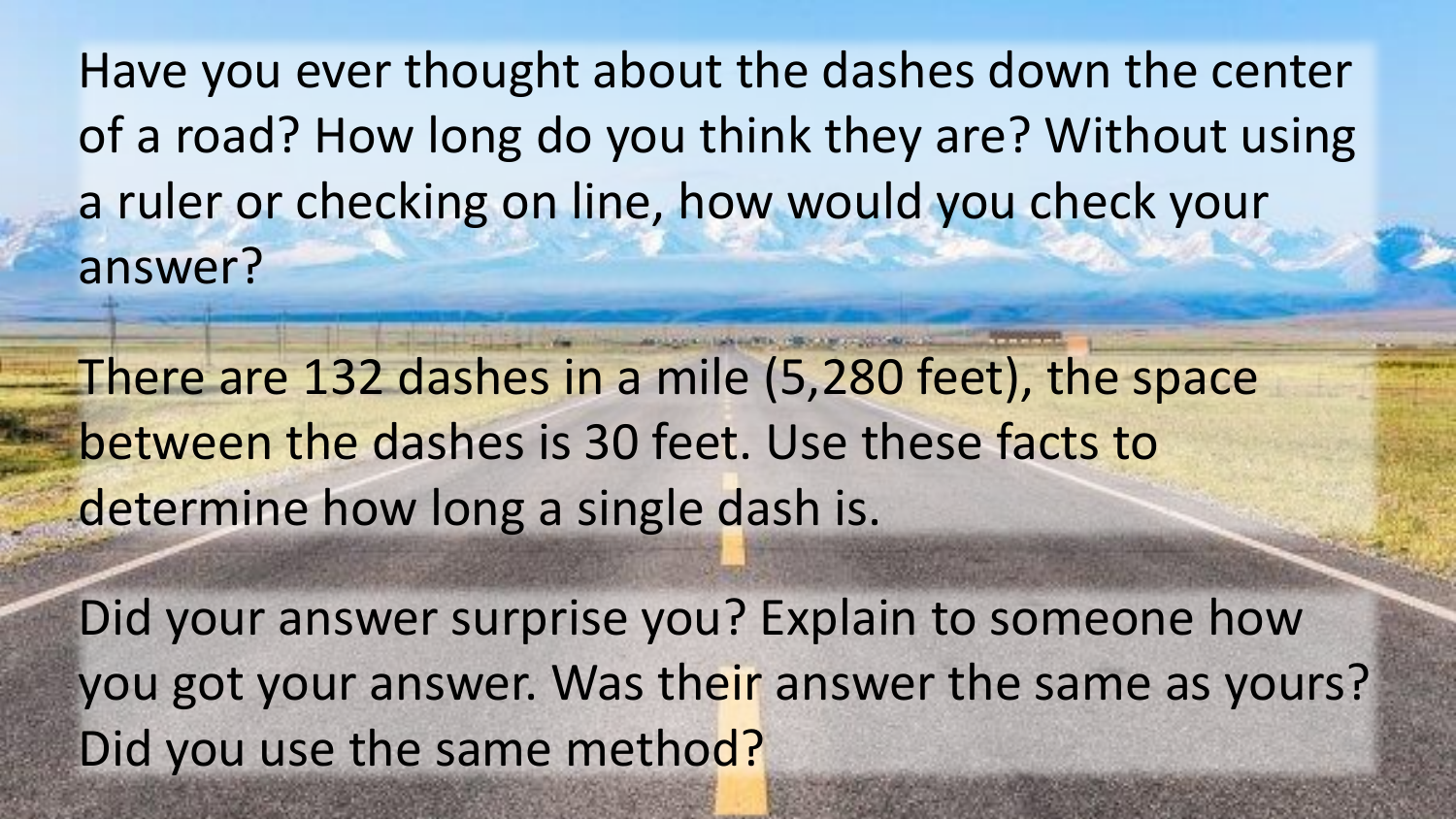Have you ever thought about the dashes down the center of a road? How long do you think they are? Without using a ruler or checking on line, how would you check your answer?

There are 132 dashes in a mile (5,280 feet), the space between the dashes is 30 feet. Use these facts to determine how long a single dash is.

Did your answer surprise you? Explain to someone how you got your answer. Was their answer the same as yours? Did you use the same method?